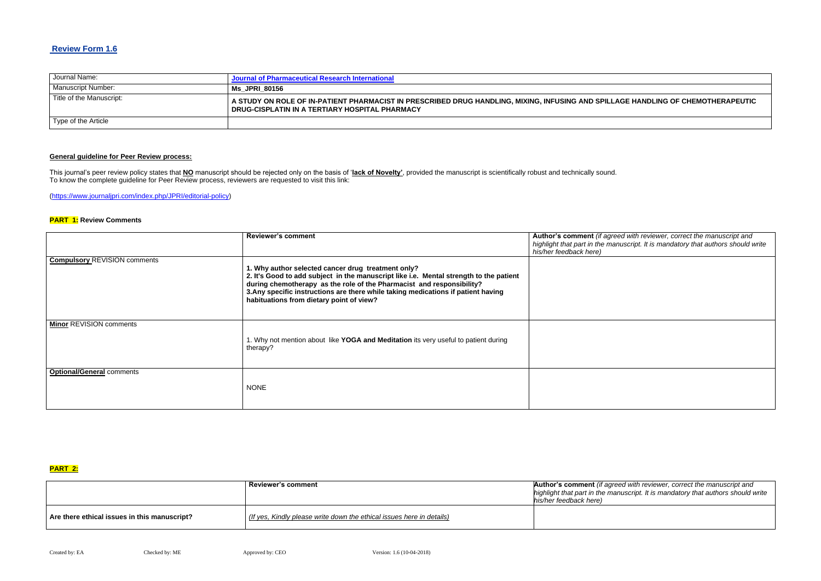# **Review Form 1.6**

| Journal Name:            | Journal of Pharmaceutical Research International                                                                                                    |
|--------------------------|-----------------------------------------------------------------------------------------------------------------------------------------------------|
| Manuscript Number:       | <b>Ms JPRI 80156</b>                                                                                                                                |
| Title of the Manuscript: | A STUDY ON ROLE OF IN-PATIENT PHARMACIST IN PRESCRIBED DRUG HANDLING, MIXING, INFUSING AND SPILLA<br>DRUG-CISPLATIN IN A TERTIARY HOSPITAL PHARMACY |
| Type of the Article      |                                                                                                                                                     |

## **General guideline for Peer Review process:**

**Red with reviewer, correct the manuscript and** *highlight that part in the manuscript. It is mandatory that authors should write* 

This journal's peer review policy states that **NO** manuscript should be rejected only on the basis of '**lack of Novelty'**, provided the manuscript is scientifically robust and technically sound. To know the complete guideline for Peer Review process, reviewers are requested to visit this link:

[\(https://www.journaljpri.com/index.php/JPRI/editorial-policy\)](https://www.journaljpri.com/index.php/JPRI/editorial-policy)

### **PART 1: Review Comments**

**Autha** *Reviewer, correct the manuscript and highlight that part in the manuscript. It is mandatory that authors should write*

|                                     | <b>Reviewer's comment</b>                                                                                                                                                                                                                                                                                                                              | Author's comment (if agree<br>highlight that part in the man<br>his/her feedback here) |
|-------------------------------------|--------------------------------------------------------------------------------------------------------------------------------------------------------------------------------------------------------------------------------------------------------------------------------------------------------------------------------------------------------|----------------------------------------------------------------------------------------|
| <b>Compulsory REVISION comments</b> | 1. Why author selected cancer drug treatment only?<br>2. It's Good to add subject in the manuscript like i.e. Mental strength to the patient<br>during chemotherapy as the role of the Pharmacist and responsibility?<br>3. Any specific instructions are there while taking medications if patient having<br>habituations from dietary point of view? |                                                                                        |
| <b>Minor REVISION comments</b>      | 1. Why not mention about like YOGA and Meditation its very useful to patient during<br>therapy?                                                                                                                                                                                                                                                        |                                                                                        |
| <b>Optional/General comments</b>    | <b>NONE</b>                                                                                                                                                                                                                                                                                                                                            |                                                                                        |

#### **PART 2:**

|                                              | <b>Reviewer's comment</b>                                             | <b>Author's comment</b> (if agree |  |  |
|----------------------------------------------|-----------------------------------------------------------------------|-----------------------------------|--|--|
|                                              |                                                                       | highlight that part in the man    |  |  |
|                                              |                                                                       | his/her feedback here)            |  |  |
| Are there ethical issues in this manuscript? | (If yes, Kindly please write down the ethical issues here in details) |                                   |  |  |

## **AGE HANDLING OF CHEMOTHERAPEUTIC**